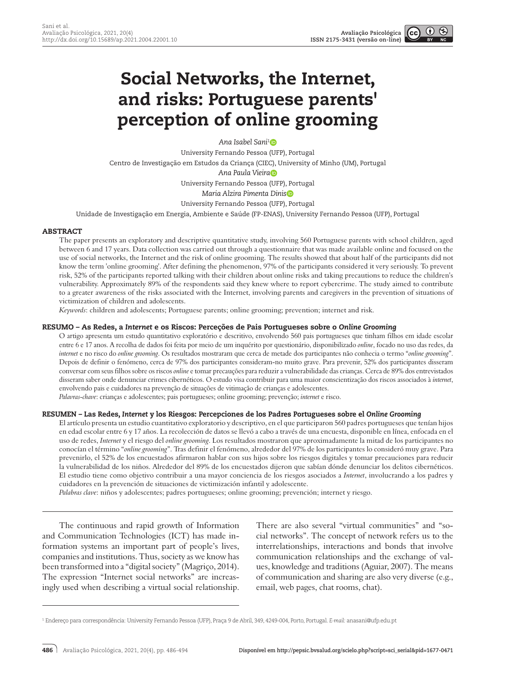# Social Networks, the Internet, and risks: Portuguese parents' perception of online grooming

*Ana Isabel Sani[1](http://orcid.org/0000-0003-1776-2442)* University Fernando Pessoa (UFP), Portugal Centro de Investigação em Estudos da Criança (CIEC), University of Minho (UM), Portugal *Ana Paula Vieir[a](https://orcid.org/0000-0002-4009-4019)* University Fernando Pessoa (UFP), Portugal *Maria Alzira Pimenta Dini[s](https://orcid.org/0000-0002-2198-6740)* University Fernando Pessoa (UFP), Portugal

Unidade de Investigação em Energia, Ambiente e Saúde (FP-ENAS), University Fernando Pessoa (UFP), Portugal

# ABSTRACT

The paper presents an exploratory and descriptive quantitative study, involving 560 Portuguese parents with school children, aged between 6 and 17 years. Data collection was carried out through a questionnaire that was made available online and focused on the use of social networks, the Internet and the risk of online grooming. The results showed that about half of the participants did not know the term 'online grooming'. After defining the phenomenon, 97% of the participants considered it very seriously. To prevent risk, 52% of the participants reported talking with their children about online risks and taking precautions to reduce the children's vulnerability. Approximately 89% of the respondents said they knew where to report cybercrime. The study aimed to contribute to a greater awareness of the risks associated with the Internet, involving parents and caregivers in the prevention of situations of victimization of children and adolescents.

*Keywords*: children and adolescents; Portuguese parents; online grooming; prevention; internet and risk.

#### RESUMO – As Redes, a *Internet* e os Riscos: Perceções de Pais Portugueses sobre o *Online Grooming*

O artigo apresenta um estudo quantitativo exploratório e descritivo, envolvendo 560 pais portugueses que tinham filhos em idade escolar entre 6 e 17 anos. A recolha de dados foi feita por meio de um inquérito por questionário, disponibilizado *online*, focado no uso das redes, da *internet* e no risco do *online grooming*. Os resultados mostraram que cerca de metade dos participantes não conhecia o termo "*online grooming*". Depois de definir o fenómeno, cerca de 97% dos participantes consideram-no muito grave. Para prevenir, 52% dos participantes disseram conversar com seus filhos sobre os riscos *online* e tomar precauções para reduzir a vulnerabilidade das crianças. Cerca de 89% dos entrevistados disseram saber onde denunciar crimes cibernéticos. O estudo visa contribuir para uma maior conscientização dos riscos associados à *internet*, envolvendo pais e cuidadores na prevenção de situações de vitimação de crianças e adolescentes.

*Palavras-chave*: crianças e adolescentes; pais portugueses; online grooming; prevenção; *internet* e risco.

#### RESUMEN – Las Redes, *Internet* y los Riesgos: Percepciones de los Padres Portugueses sobre el *Online Grooming*

El artículo presenta un estudio cuantitativo exploratorio y descriptivo, en el que participaron 560 padres portugueses que tenían hijos en edad escolar entre 6 y 17 años. La recolección de datos se llevó a cabo a través de una encuesta, disponible en línea, enfocada en el uso de redes, *Internet* y el riesgo del *online grooming*. Los resultados mostraron que aproximadamente la mitad de los participantes no conocían el término "*online grooming*". Tras definir el fenómeno, alrededor del 97% de los participantes lo consideró muy grave. Para prevenirlo, el 52% de los encuestados afirmaron hablar con sus hijos sobre los riesgos digitales y tomar precauciones para reducir la vulnerabilidad de los niños. Alrededor del 89% de los encuestados dijeron que sabían dónde denunciar los delitos cibernéticos. El estudio tiene como objetivo contribuir a una mayor conciencia de los riesgos asociados a *Internet*, involucrando a los padres y cuidadores en la prevención de situaciones de victimización infantil y adolescente.

*Palabras clave*: niños y adolescentes; padres portugueses; online grooming; prevención; internet y riesgo.

The continuous and rapid growth of Information and Communication Technologies (ICT) has made information systems an important part of people's lives, companies and institutions. Thus, society as we know has been transformed into a "digital society" (Magriço, 2014). The expression "Internet social networks" are increasingly used when describing a virtual social relationship.

There are also several "virtual communities" and "social networks". The concept of network refers us to the interrelationships, interactions and bonds that involve communication relationships and the exchange of values, knowledge and traditions (Aguiar, 2007). The means of communication and sharing are also very diverse (e.g., email, web pages, chat rooms, chat).

<sup>1</sup> Endereço para correspondência: University Fernando Pessoa (UFP), Praça 9 de Abril, 349, 4249-004, Porto, Portugal. *E-mail:* anasani@ufp.edu.pt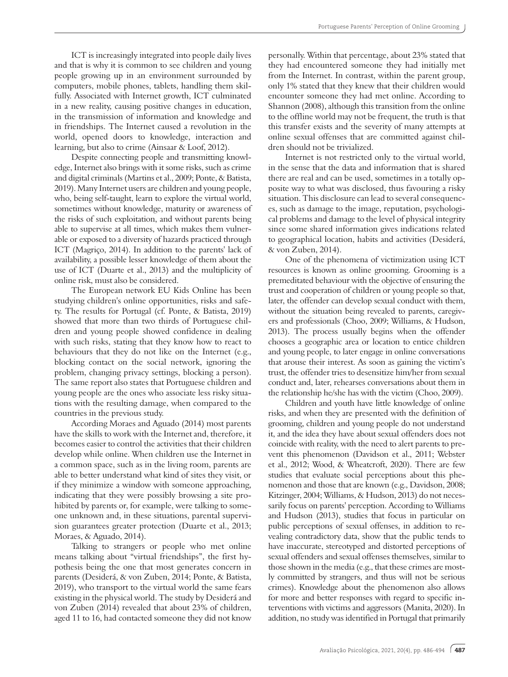ICT is increasingly integrated into people daily lives and that is why it is common to see children and young people growing up in an environment surrounded by computers, mobile phones, tablets, handling them skilfully. Associated with Internet growth, ICT culminated in a new reality, causing positive changes in education, in the transmission of information and knowledge and in friendships. The Internet caused a revolution in the world, opened doors to knowledge, interaction and learning, but also to crime (Ainsaar & Loof, 2012).

Despite connecting people and transmitting knowledge, Internet also brings with it some risks, such as crime and digital criminals (Martins et al., 2009; Ponte, & Batista, 2019). Many Internet users are children and young people, who, being self-taught, learn to explore the virtual world, sometimes without knowledge, maturity or awareness of the risks of such exploitation, and without parents being able to supervise at all times, which makes them vulnerable or exposed to a diversity of hazards practiced through ICT (Magriço, 2014). In addition to the parents' lack of availability, a possible lesser knowledge of them about the use of ICT (Duarte et al., 2013) and the multiplicity of online risk, must also be considered.

The European network EU Kids Online has been studying children's online opportunities, risks and safety. The results for Portugal (cf. Ponte, & Batista, 2019) showed that more than two thirds of Portuguese children and young people showed confidence in dealing with such risks, stating that they know how to react to behaviours that they do not like on the Internet (e.g., blocking contact on the social network, ignoring the problem, changing privacy settings, blocking a person). The same report also states that Portuguese children and young people are the ones who associate less risky situations with the resulting damage, when compared to the countries in the previous study.

According Moraes and Aguado (2014) most parents have the skills to work with the Internet and, therefore, it becomes easier to control the activities that their children develop while online. When children use the Internet in a common space, such as in the living room, parents are able to better understand what kind of sites they visit, or if they minimize a window with someone approaching, indicating that they were possibly browsing a site prohibited by parents or, for example, were talking to someone unknown and, in these situations, parental supervision guarantees greater protection (Duarte et al., 2013; Moraes, & Aguado, 2014).

Talking to strangers or people who met online means talking about "virtual friendships", the first hypothesis being the one that most generates concern in parents (Desiderá, & von Zuben, 2014; Ponte, & Batista, 2019), who transport to the virtual world the same fears existing in the physical world. The study by Desiderá and von Zuben (2014) revealed that about 23% of children, aged 11 to 16, had contacted someone they did not know personally. Within that percentage, about 23% stated that they had encountered someone they had initially met from the Internet. In contrast, within the parent group, only 1% stated that they knew that their children would encounter someone they had met online. According to Shannon (2008), although this transition from the online to the offline world may not be frequent, the truth is that this transfer exists and the severity of many attempts at online sexual offenses that are committed against children should not be trivialized.

Internet is not restricted only to the virtual world, in the sense that the data and information that is shared there are real and can be used, sometimes in a totally opposite way to what was disclosed, thus favouring a risky situation. This disclosure can lead to several consequences, such as damage to the image, reputation, psychological problems and damage to the level of physical integrity since some shared information gives indications related to geographical location, habits and activities (Desiderá, & von Zuben, 2014).

One of the phenomena of victimization using ICT resources is known as online grooming. Grooming is a premeditated behaviour with the objective of ensuring the trust and cooperation of children or young people so that, later, the offender can develop sexual conduct with them, without the situation being revealed to parents, caregivers and professionals (Choo, 2009; Williams, & Hudson, 2013). The process usually begins when the offender chooses a geographic area or location to entice children and young people, to later engage in online conversations that arouse their interest. As soon as gaining the victim's trust, the offender tries to desensitize him/her from sexual conduct and, later, rehearses conversations about them in the relationship he/she has with the victim (Choo, 2009).

Children and youth have little knowledge of online risks, and when they are presented with the definition of grooming, children and young people do not understand it, and the idea they have about sexual offenders does not coincide with reality, with the need to alert parents to prevent this phenomenon (Davidson et al., 2011; Webster et al., 2012; Wood, & Wheatcroft, 2020). There are few studies that evaluate social perceptions about this phenomenon and those that are known (e.g., Davidson, 2008; Kitzinger, 2004; Williams, & Hudson, 2013) do not necessarily focus on parents' perception. According to Williams and Hudson (2013), studies that focus in particular on public perceptions of sexual offenses, in addition to revealing contradictory data, show that the public tends to have inaccurate, stereotyped and distorted perceptions of sexual offenders and sexual offenses themselves, similar to those shown in the media (e.g., that these crimes are mostly committed by strangers, and thus will not be serious crimes). Knowledge about the phenomenon also allows for more and better responses with regard to specific interventions with victims and aggressors (Manita, 2020). In addition, no study was identified in Portugal that primarily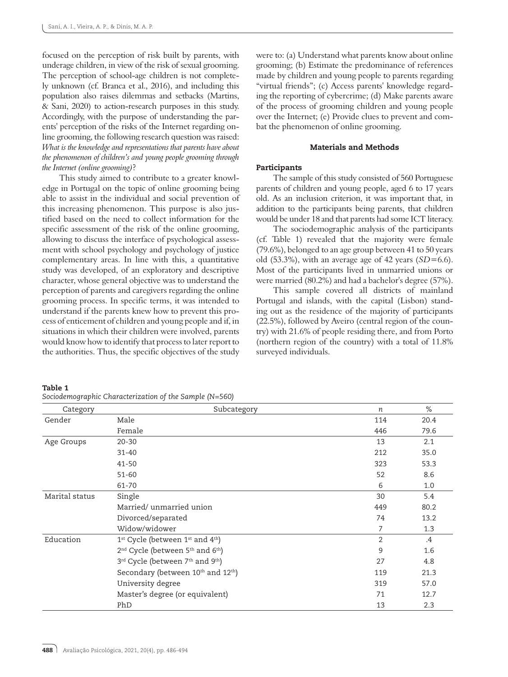focused on the perception of risk built by parents, with underage children, in view of the risk of sexual grooming. The perception of school-age children is not completely unknown (cf. Branca et al., 2016), and including this population also raises dilemmas and setbacks (Martins, & Sani, 2020) to action-research purposes in this study. Accordingly, with the purpose of understanding the parents' perception of the risks of the Internet regarding online grooming, the following research question was raised: *What is the knowledge and representations that parents have about the phenomenon of children's and young people grooming through the Internet (online grooming)*?

This study aimed to contribute to a greater knowledge in Portugal on the topic of online grooming being able to assist in the individual and social prevention of this increasing phenomenon. This purpose is also justified based on the need to collect information for the specific assessment of the risk of the online grooming, allowing to discuss the interface of psychological assessment with school psychology and psychology of justice complementary areas. In line with this, a quantitative study was developed, of an exploratory and descriptive character, whose general objective was to understand the perception of parents and caregivers regarding the online grooming process. In specific terms, it was intended to understand if the parents knew how to prevent this process of enticement of children and young people and if, in situations in which their children were involved, parents would know how to identify that process to later report to the authorities. Thus, the specific objectives of the study

were to: (a) Understand what parents know about online grooming; (b) Estimate the predominance of references made by children and young people to parents regarding "virtual friends"; (c) Access parents' knowledge regarding the reporting of cybercrime; (d) Make parents aware of the process of grooming children and young people over the Internet; (e) Provide clues to prevent and combat the phenomenon of online grooming.

## Materials and Methods

#### Participants

The sample of this study consisted of 560 Portuguese parents of children and young people, aged 6 to 17 years old. As an inclusion criterion, it was important that, in addition to the participants being parents, that children would be under 18 and that parents had some ICT literacy.

The sociodemographic analysis of the participants (cf. Table 1) revealed that the majority were female (79.6%), belonged to an age group between 41 to 50 years old (53.3%), with an average age of 42 years (*SD*=6.6). Most of the participants lived in unmarried unions or were married (80.2%) and had a bachelor's degree (57%).

This sample covered all districts of mainland Portugal and islands, with the capital (Lisbon) standing out as the residence of the majority of participants (22.5%), followed by Aveiro (central region of the country) with 21.6% of people residing there, and from Porto (northern region of the country) with a total of 11.8% surveyed individuals.

*Sociodemographic Characterization of the Sample (N=560)*

| Category       | Subcategory                                                          | n              | $\%$   |
|----------------|----------------------------------------------------------------------|----------------|--------|
| Gender         | Male                                                                 | 114            | 20.4   |
|                | Female                                                               | 446            | 79.6   |
| Age Groups     | $20 - 30$                                                            | 13             | 2.1    |
|                | $31 - 40$                                                            | 212            | 35.0   |
|                | $41 - 50$                                                            | 323            | 53.3   |
|                | $51 - 60$                                                            | 52             | 8.6    |
|                | 61-70                                                                | 6              | 1.0    |
| Marital status | Single                                                               | 30             | 5.4    |
|                | Married/unmarried union                                              | 449            | 80.2   |
|                | Divorced/separated                                                   | 74             | 13.2   |
|                | Widow/widower                                                        | 7              | 1.3    |
| Education      | 1 <sup>st</sup> Cycle (between 1 <sup>st</sup> and 4 <sup>th</sup> ) | $\overline{2}$ | $.4\,$ |
|                | 2 <sup>nd</sup> Cycle (between 5 <sup>th</sup> and 6 <sup>th</sup> ) | 9              | 1.6    |
|                | 3rd Cycle (between 7th and 9th)                                      | 27             | 4.8    |
|                | Secondary (between 10th and 12th)                                    | 119            | 21.3   |
|                | University degree                                                    | 319            | 57.0   |
|                | Master's degree (or equivalent)                                      | 71             | 12.7   |
|                | PhD                                                                  | 13             | 2.3    |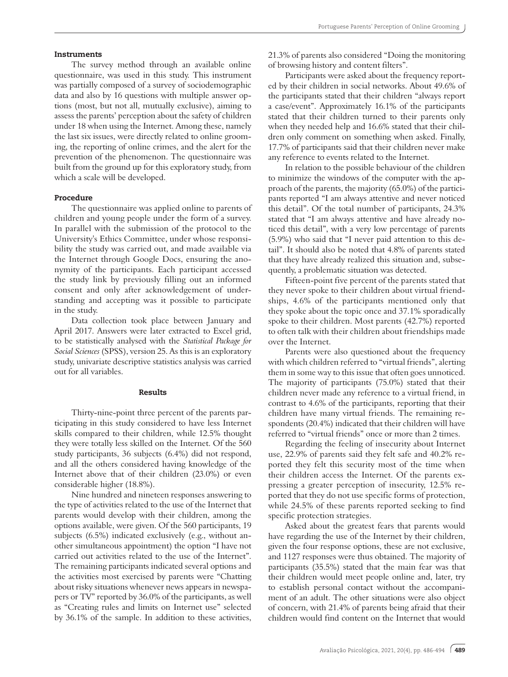#### **Instruments**

The survey method through an available online questionnaire, was used in this study. This instrument was partially composed of a survey of sociodemographic data and also by 16 questions with multiple answer options (most, but not all, mutually exclusive), aiming to assess the parents' perception about the safety of children under 18 when using the Internet. Among these, namely the last six issues, were directly related to online grooming, the reporting of online crimes, and the alert for the prevention of the phenomenon. The questionnaire was built from the ground up for this exploratory study, from which a scale will be developed.

#### Procedure

The questionnaire was applied online to parents of children and young people under the form of a survey. In parallel with the submission of the protocol to the University's Ethics Committee, under whose responsibility the study was carried out, and made available via the Internet through Google Docs, ensuring the anonymity of the participants. Each participant accessed the study link by previously filling out an informed consent and only after acknowledgement of understanding and accepting was it possible to participate in the study.

Data collection took place between January and April 2017. Answers were later extracted to Excel grid, to be statistically analysed with the *Statistical Package for Social Sciences* (SPSS), version 25. As this is an exploratory study, univariate descriptive statistics analysis was carried out for all variables.

### Results

Thirty-nine-point three percent of the parents participating in this study considered to have less Internet skills compared to their children, while 12.5% thought they were totally less skilled on the Internet. Of the 560 study participants, 36 subjects (6.4%) did not respond, and all the others considered having knowledge of the Internet above that of their children (23.0%) or even considerable higher (18.8%).

Nine hundred and nineteen responses answering to the type of activities related to the use of the Internet that parents would develop with their children, among the options available, were given. Of the 560 participants, 19 subjects (6.5%) indicated exclusively (e.g., without another simultaneous appointment) the option "I have not carried out activities related to the use of the Internet". The remaining participants indicated several options and the activities most exercised by parents were "Chatting about risky situations whenever news appears in newspapers or TV" reported by 36.0% of the participants, as well as "Creating rules and limits on Internet use" selected by 36.1% of the sample. In addition to these activities,

21.3% of parents also considered "Doing the monitoring of browsing history and content filters".

Participants were asked about the frequency reported by their children in social networks. About 49.6% of the participants stated that their children "always report a case/event". Approximately 16.1% of the participants stated that their children turned to their parents only when they needed help and 16.6% stated that their children only comment on something when asked. Finally, 17.7% of participants said that their children never make any reference to events related to the Internet.

In relation to the possible behaviour of the children to minimize the windows of the computer with the approach of the parents, the majority (65.0%) of the participants reported "I am always attentive and never noticed this detail". Of the total number of participants, 24.3% stated that "I am always attentive and have already noticed this detail", with a very low percentage of parents (5.9%) who said that "I never paid attention to this detail". It should also be noted that 4.8% of parents stated that they have already realized this situation and, subsequently, a problematic situation was detected.

Fifteen-point five percent of the parents stated that they never spoke to their children about virtual friendships, 4.6% of the participants mentioned only that they spoke about the topic once and 37.1% sporadically spoke to their children. Most parents (42.7%) reported to often talk with their children about friendships made over the Internet.

Parents were also questioned about the frequency with which children referred to "virtual friends", alerting them in some way to this issue that often goes unnoticed. The majority of participants (75.0%) stated that their children never made any reference to a virtual friend, in contrast to 4.6% of the participants, reporting that their children have many virtual friends. The remaining respondents (20.4%) indicated that their children will have referred to "virtual friends" once or more than 2 times.

Regarding the feeling of insecurity about Internet use, 22.9% of parents said they felt safe and 40.2% reported they felt this security most of the time when their children access the Internet. Of the parents expressing a greater perception of insecurity, 12.5% reported that they do not use specific forms of protection, while 24.5% of these parents reported seeking to find specific protection strategies.

Asked about the greatest fears that parents would have regarding the use of the Internet by their children, given the four response options, these are not exclusive, and 1127 responses were thus obtained. The majority of participants (35.5%) stated that the main fear was that their children would meet people online and, later, try to establish personal contact without the accompaniment of an adult. The other situations were also object of concern, with 21.4% of parents being afraid that their children would find content on the Internet that would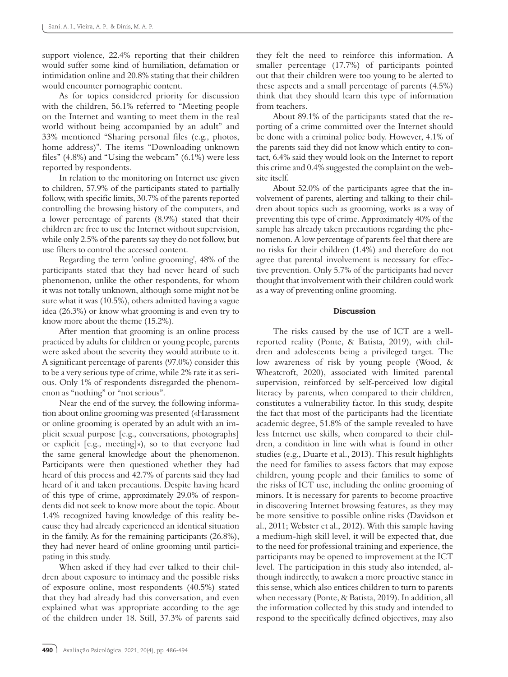support violence, 22.4% reporting that their children would suffer some kind of humiliation, defamation or intimidation online and 20.8% stating that their children would encounter pornographic content.

As for topics considered priority for discussion with the children, 56.1% referred to "Meeting people on the Internet and wanting to meet them in the real world without being accompanied by an adult" and 33% mentioned "Sharing personal files (e.g., photos, home address)". The items "Downloading unknown files" (4.8%) and "Using the webcam" (6.1%) were less reported by respondents.

In relation to the monitoring on Internet use given to children, 57.9% of the participants stated to partially follow, with specific limits, 30.7% of the parents reported controlling the browsing history of the computers, and a lower percentage of parents (8.9%) stated that their children are free to use the Internet without supervision, while only 2.5% of the parents say they do not follow, but use filters to control the accessed content.

Regarding the term 'online grooming', 48% of the participants stated that they had never heard of such phenomenon, unlike the other respondents, for whom it was not totally unknown, although some might not be sure what it was (10.5%), others admitted having a vague idea (26.3%) or know what grooming is and even try to know more about the theme (15.2%).

After mention that grooming is an online process practiced by adults for children or young people, parents were asked about the severity they would attribute to it. A significant percentage of parents (97.0%) consider this to be a very serious type of crime, while 2% rate it as serious. Only 1% of respondents disregarded the phenomenon as "nothing" or "not serious".

Near the end of the survey, the following information about online grooming was presented («Harassment or online grooming is operated by an adult with an implicit sexual purpose [e.g., conversations, photographs] or explicit [e.g., meeting]»), so to that everyone had the same general knowledge about the phenomenon. Participants were then questioned whether they had heard of this process and 42.7% of parents said they had heard of it and taken precautions. Despite having heard of this type of crime, approximately 29.0% of respondents did not seek to know more about the topic. About 1.4% recognized having knowledge of this reality because they had already experienced an identical situation in the family. As for the remaining participants (26.8%), they had never heard of online grooming until participating in this study.

When asked if they had ever talked to their children about exposure to intimacy and the possible risks of exposure online, most respondents (40.5%) stated that they had already had this conversation, and even explained what was appropriate according to the age of the children under 18. Still, 37.3% of parents said

they felt the need to reinforce this information. A smaller percentage (17.7%) of participants pointed out that their children were too young to be alerted to these aspects and a small percentage of parents (4.5%) think that they should learn this type of information from teachers.

About 89.1% of the participants stated that the reporting of a crime committed over the Internet should be done with a criminal police body. However, 4.1% of the parents said they did not know which entity to contact, 6.4% said they would look on the Internet to report this crime and 0.4% suggested the complaint on the website itself.

About 52.0% of the participants agree that the involvement of parents, alerting and talking to their children about topics such as grooming, works as a way of preventing this type of crime. Approximately 40% of the sample has already taken precautions regarding the phenomenon. A low percentage of parents feel that there are no risks for their children (1.4%) and therefore do not agree that parental involvement is necessary for effective prevention. Only 5.7% of the participants had never thought that involvement with their children could work as a way of preventing online grooming.

# Discussion

The risks caused by the use of ICT are a wellreported reality (Ponte, & Batista, 2019), with children and adolescents being a privileged target. The low awareness of risk by young people (Wood, & Wheatcroft, 2020), associated with limited parental supervision, reinforced by self-perceived low digital literacy by parents, when compared to their children, constitutes a vulnerability factor. In this study, despite the fact that most of the participants had the licentiate academic degree, 51.8% of the sample revealed to have less Internet use skills, when compared to their children, a condition in line with what is found in other studies (e.g., Duarte et al., 2013). This result highlights the need for families to assess factors that may expose children, young people and their families to some of the risks of ICT use, including the online grooming of minors. It is necessary for parents to become proactive in discovering Internet browsing features, as they may be more sensitive to possible online risks (Davidson et al., 2011; Webster et al., 2012). With this sample having a medium-high skill level, it will be expected that, due to the need for professional training and experience, the participants may be opened to improvement at the ICT level. The participation in this study also intended, although indirectly, to awaken a more proactive stance in this sense, which also entices children to turn to parents when necessary (Ponte, & Batista, 2019). In addition, all the information collected by this study and intended to respond to the specifically defined objectives, may also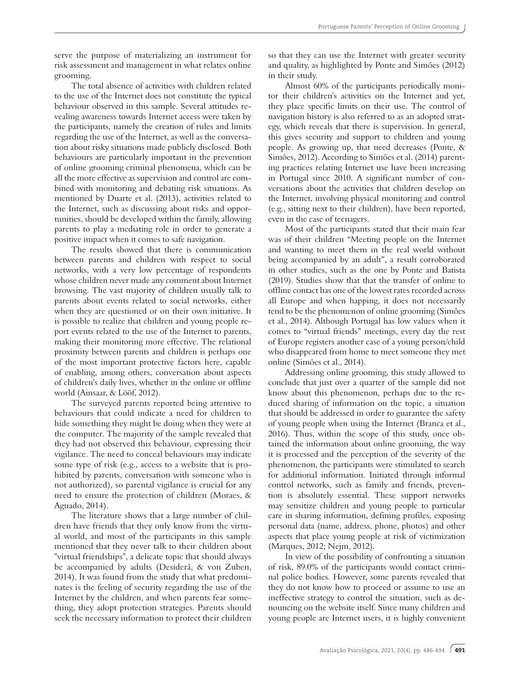serve the purpose of materializing an instrument for risk assessment and management in what relates online grooming.

The total absence of activities with children related to the use of the Internet does not constitute the typical behaviour observed in this sample. Several attitudes revealing awareness towards Internet access were taken by the participants, namely the creation of rules and limits regarding the use of the Internet, as well as the conversation about risky situations made publicly disclosed. Both behaviours are particularly important in the prevention of online grooming criminal phenomena, which can be all the more effective as supervision and control are combined with monitoring and debating risk situations. As mentioned by Duarte et al. (2013), activities related to the Internet, such as discussing about risks and opportunities, should be developed within the family, allowing parents to play a mediating role in order to generate a positive impact when it comes to safe navigation.

The results showed that there is communication between parents and children with respect to social networks, with a very low percentage of respondents whose children never made any comment about Internet browsing. The vast majority of children usually talk to parents about events related to social networks, either when they are questioned or on their own initiative. It is possible to realize that children and young people report events related to the use of the Internet to parents, making their monitoring more effective. The relational proximity between parents and children is perhaps one of the most important protective factors here, capable of enabling, among others, conversation about aspects of children's daily lives, whether in the online or offline world (Ainsaar, & Lööf, 2012).

The surveyed parents reported being attentive to behaviours that could indicate a need for children to hide something they might be doing when they were at the computer. The majority of the sample revealed that they had not observed this behaviour, expressing their vigilance. The need to conceal behaviours may indicate some type of risk (e.g., access to a website that is prohibited by parents, conversation with someone who is not authorized), so parental vigilance is crucial for any need to ensure the protection of children (Moraes, & Aguado, 2014).

The literature shows that a large number of children have friends that they only know from the virtual world, and most of the participants in this sample mentioned that they never talk to their children about "virtual friendships", a delicate topic that should always be accompanied by adults (Desiderá, & von Zuben, 2014). It was found from the study that what predominates is the feeling of security regarding the use of the Internet by the children, and when parents fear something, they adopt protection strategies. Parents should seek the necessary information to protect their children

so that they can use the Internet with greater security and quality, as highlighted by Ponte and Simões (2012) in their study.

Almost 60% of the participants periodically monitor their children's activities on the Internet and yet, they place specific limits on their use. The control of navigation history is also referred to as an adopted strategy, which reveals that there is supervision. In general, this gives security and support to children and young people. As growing up, that need decreases (Ponte, & Simões, 2012). According to Simões et al. (2014) parenting practices relating Internet use have been increasing in Portugal since 2010. A significant number of conversations about the activities that children develop on the Internet, involving physical monitoring and control (e.g., sitting next to their children), have been reported, even in the case of teenagers.

Most of the participants stated that their main fear was of their children "Meeting people on the Internet and wanting to meet them in the real world without being accompanied by an adult", a result corroborated in other studies, such as the one by Ponte and Batista (2019). Studies show that that the transfer of online to offline contact has one of the lowest rates recorded across all Europe and when happing, it does not necessarily tend to be the phenomenon of online grooming (Simões et al., 2014). Although Portugal has low values when it comes to "virtual friends" meetings, every day the rest of Europe registers another case of a young person/child who disappeared from home to meet someone they met online (Simões et al., 2014).

Addressing online grooming, this study allowed to conclude that just over a quarter of the sample did not know about this phenomenon, perhaps due to the reduced sharing of information on the topic, a situation that should be addressed in order to guarantee the safety of young people when using the Internet (Branca et al., 2016). Thus, within the scope of this study, once obtained the information about online grooming, the way it is processed and the perception of the severity of the phenomenon, the participants were stimulated to search for additional information. Initiated through informal control networks, such as family and friends, prevention is absolutely essential. These support networks may sensitize children and young people to particular care in sharing information, defining profiles, exposing personal data (name, address, phone, photos) and other aspects that place young people at risk of victimization (Marques, 2012; Nejm, 2012).

In view of the possibility of confronting a situation of risk, 89.0% of the participants would contact criminal police bodies. However, some parents revealed that they do not know how to proceed or assume to use an ineffective strategy to control the situation, such as denouncing on the website itself. Since many children and young people are Internet users, it is highly convenient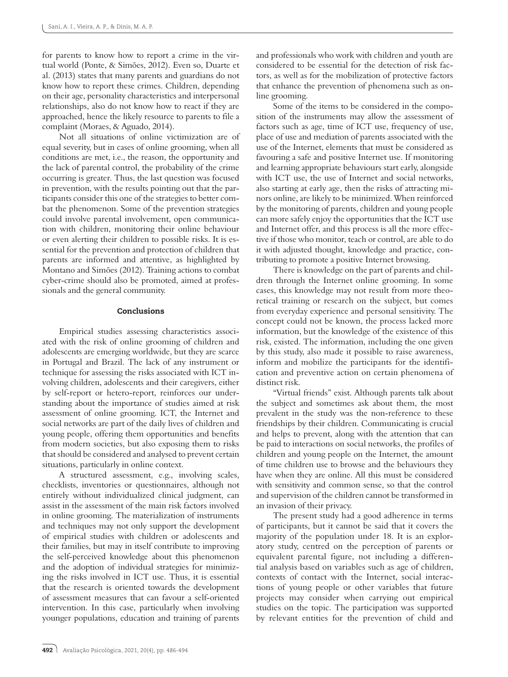for parents to know how to report a crime in the virtual world (Ponte, & Simões, 2012). Even so, Duarte et al. (2013) states that many parents and guardians do not know how to report these crimes. Children, depending on their age, personality characteristics and interpersonal relationships, also do not know how to react if they are approached, hence the likely resource to parents to file a complaint (Moraes, & Aguado, 2014).

Not all situations of online victimization are of equal severity, but in cases of online grooming, when all conditions are met, i.e., the reason, the opportunity and the lack of parental control, the probability of the crime occurring is greater. Thus, the last question was focused in prevention, with the results pointing out that the participants consider this one of the strategies to better combat the phenomenon. Some of the prevention strategies could involve parental involvement, open communication with children, monitoring their online behaviour or even alerting their children to possible risks. It is essential for the prevention and protection of children that parents are informed and attentive, as highlighted by Montano and Simões (2012). Training actions to combat cyber-crime should also be promoted, aimed at professionals and the general community.

## Conclusions

Empirical studies assessing characteristics associated with the risk of online grooming of children and adolescents are emerging worldwide, but they are scarce in Portugal and Brazil. The lack of any instrument or technique for assessing the risks associated with ICT involving children, adolescents and their caregivers, either by self-report or hetero-report, reinforces our understanding about the importance of studies aimed at risk assessment of online grooming. ICT, the Internet and social networks are part of the daily lives of children and young people, offering them opportunities and benefits from modern societies, but also exposing them to risks that should be considered and analysed to prevent certain situations, particularly in online context.

A structured assessment, e.g., involving scales, checklists, inventories or questionnaires, although not entirely without individualized clinical judgment, can assist in the assessment of the main risk factors involved in online grooming. The materialization of instruments and techniques may not only support the development of empirical studies with children or adolescents and their families, but may in itself contribute to improving the self-perceived knowledge about this phenomenon and the adoption of individual strategies for minimizing the risks involved in ICT use. Thus, it is essential that the research is oriented towards the development of assessment measures that can favour a self-oriented intervention. In this case, particularly when involving younger populations, education and training of parents and professionals who work with children and youth are considered to be essential for the detection of risk factors, as well as for the mobilization of protective factors that enhance the prevention of phenomena such as online grooming.

Some of the items to be considered in the composition of the instruments may allow the assessment of factors such as age, time of ICT use, frequency of use, place of use and mediation of parents associated with the use of the Internet, elements that must be considered as favouring a safe and positive Internet use. If monitoring and learning appropriate behaviours start early, alongside with ICT use, the use of Internet and social networks, also starting at early age, then the risks of attracting minors online, are likely to be minimized. When reinforced by the monitoring of parents, children and young people can more safely enjoy the opportunities that the ICT use and Internet offer, and this process is all the more effective if those who monitor, teach or control, are able to do it with adjusted thought, knowledge and practice, contributing to promote a positive Internet browsing.

There is knowledge on the part of parents and children through the Internet online grooming. In some cases, this knowledge may not result from more theoretical training or research on the subject, but comes from everyday experience and personal sensitivity. The concept could not be known, the process lacked more information, but the knowledge of the existence of this risk, existed. The information, including the one given by this study, also made it possible to raise awareness, inform and mobilize the participants for the identification and preventive action on certain phenomena of distinct risk.

"Virtual friends" exist. Although parents talk about the subject and sometimes ask about them, the most prevalent in the study was the non-reference to these friendships by their children. Communicating is crucial and helps to prevent, along with the attention that can be paid to interactions on social networks, the profiles of children and young people on the Internet, the amount of time children use to browse and the behaviours they have when they are online. All this must be considered with sensitivity and common sense, so that the control and supervision of the children cannot be transformed in an invasion of their privacy.

The present study had a good adherence in terms of participants, but it cannot be said that it covers the majority of the population under 18. It is an exploratory study, centred on the perception of parents or equivalent parental figure, not including a differential analysis based on variables such as age of children, contexts of contact with the Internet, social interactions of young people or other variables that future projects may consider when carrying out empirical studies on the topic. The participation was supported by relevant entities for the prevention of child and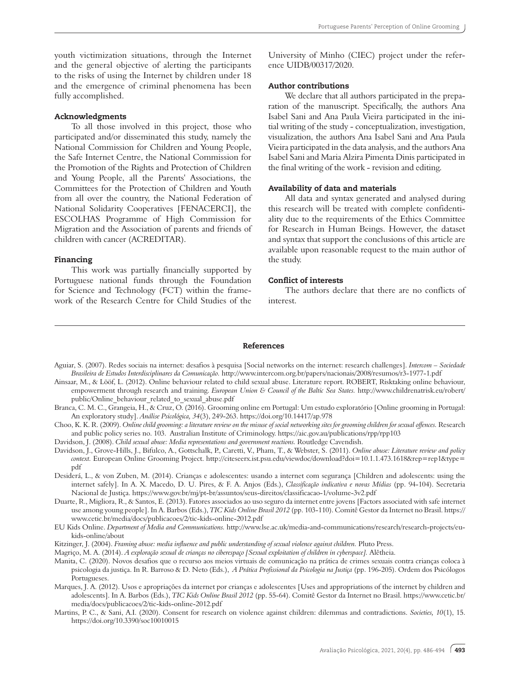youth victimization situations, through the Internet and the general objective of alerting the participants to the risks of using the Internet by children under 18 and the emergence of criminal phenomena has been fully accomplished.

#### Acknowledgments

To all those involved in this project, those who participated and/or disseminated this study, namely the National Commission for Children and Young People, the Safe Internet Centre, the National Commission for the Promotion of the Rights and Protection of Children and Young People, all the Parents' Associations, the Committees for the Protection of Children and Youth from all over the country, the National Federation of National Solidarity Cooperatives [FENACERCI], the ESCOLHAS Programme of High Commission for Migration and the Association of parents and friends of children with cancer (ACREDITAR).

## Financing

This work was partially financially supported by Portuguese national funds through the Foundation for Science and Technology (FCT) within the framework of the Research Centre for Child Studies of the

University of Minho (CIEC) project under the reference UIDB/00317/2020.

# Author contributions

We declare that all authors participated in the preparation of the manuscript. Specifically, the authors Ana Isabel Sani and Ana Paula Vieira participated in the initial writing of the study - conceptualization, investigation, visualization, the authors Ana Isabel Sani and Ana Paula Vieira participated in the data analysis, and the authors Ana Isabel Sani and Maria Alzira Pimenta Dinis participated in the final writing of the work - revision and editing.

# Availability of data and materials

All data and syntax generated and analysed during this research will be treated with complete confidentiality due to the requirements of the Ethics Committee for Research in Human Beings. However, the dataset and syntax that support the conclusions of this article are available upon reasonable request to the main author of the study.

# Conflict of interests

The authors declare that there are no conflicts of interest.

#### References

- Aguiar, S. (2007). Redes sociais na internet: desafios à pesquisa [Social networks on the internet: research challenges]. *Intercom Sociedade Brasileira de Estudos Interdisciplinares da Comunicação.* http://www.intercom.org.br/papers/nacionais/2008/resumos/r3-1977-1.pdf
- Ainsaar, M., & Lööf, L. (2012). Online behaviour related to child sexual abuse. Literature report. ROBERT, Risktaking online behaviour, empowerment through research and training. *European Union & Council of the Baltic Sea States.* http://www.childrenatrisk.eu/robert/ public/Online\_behaviour\_related\_to\_sexual\_abuse.pdf
- Branca, C. M. C., Grangeia, H., & Cruz, O. (2016). Grooming online em Portugal: Um estudo exploratório [Online grooming in Portugal: An exploratory study]. *Análise Psicológica, 34*(3), 249-263. https://doi.org/10.14417/ap.978
- Choo, K. K. R. (2009). *Online child grooming: a literature review on the misuse of social networking sites for grooming children for sexual offences.* Research and public policy series no. 103. Australian Institute of Criminology. https://aic.gov.au/publications/rpp/rpp103
- Davidson, J. (2008). *Child sexual abuse: Media representations and government reactions.* Routledge Cavendish.
- Davidson, J., Grove-Hills, J., Bifulco, A., Gottschalk, P., Caretti, V., Pham, T., & Webster, S. (2011). *Online abuse: Literature review and policy context.* European Online Grooming Project. http://citeseerx.ist.psu.edu/viewdoc/download?doi=10.1.1.473.1618&rep=rep1&type= pdf
- Desiderá, L., & von Zuben, M. (2014). Crianças e adolescentes: usando a internet com segurança [Children and adolescents: using the internet safely]. In A. X. Macedo, D. U. Pires, & F. A. Anjos (Eds.), *Classificação indicativa e novas Mídias* (pp. 94-104). Secretaria Nacional de Justiça. https://www.gov.br/mj/pt-br/assuntos/seus-direitos/classificacao-1/volume-3v2.pdf
- Duarte, R., Migliora, R., & Santos, E. (2013). Fatores associados ao uso seguro da internet entre jovens [Factors associated with safe internet use among young people]. In A. Barbos (Eds.), *TIC Kids Online Brasil 2012* (pp. 103-110). Comitê Gestor da Internet no Brasil. https:// www.cetic.br/media/docs/publicacoes/2/tic-kids-online-2012.pdf
- EU Kids Online. *Department of Media and Communications.* http://www.lse.ac.uk/media-and-communications/research/research-projects/eukids-online/about
- Kitzinger, J. (2004). *Framing abuse: media influence and public understanding of sexual violence against children.* Pluto Press.

Magriço, M. A. (2014). *A exploração sexual de crianças no ciberespaço [Sexual exploitation of children in cyberspace].* Alêtheia.

- Manita, C. (2020). Novos desafios que o recurso aos meios virtuais de comunicação na prática de crimes sexuais contra crianças coloca à psicologia da justiça. In R. Barroso & D. Neto (Eds.), *A Prática Profissional da Psicologia na Justiça* (pp. 196-205). Ordem dos Psicólogos Portugueses.
- Marques, J. A. (2012). Usos e apropriações da internet por crianças e adolescentes [Uses and appropriations of the internet by children and adolescents]. In A. Barbos (Eds.), *TIC Kids Online Brasil 2012* (pp. 55-64). Comitê Gestor da Internet no Brasil. https://www.cetic.br/ media/docs/publicacoes/2/tic-kids-online-2012.pdf
- Martins, P. C., & Sani, A.I. (2020). Consent for research on violence against children: dilemmas and contradictions. *Societies, 10*(1), 15. https://doi.org/10.3390/soc10010015